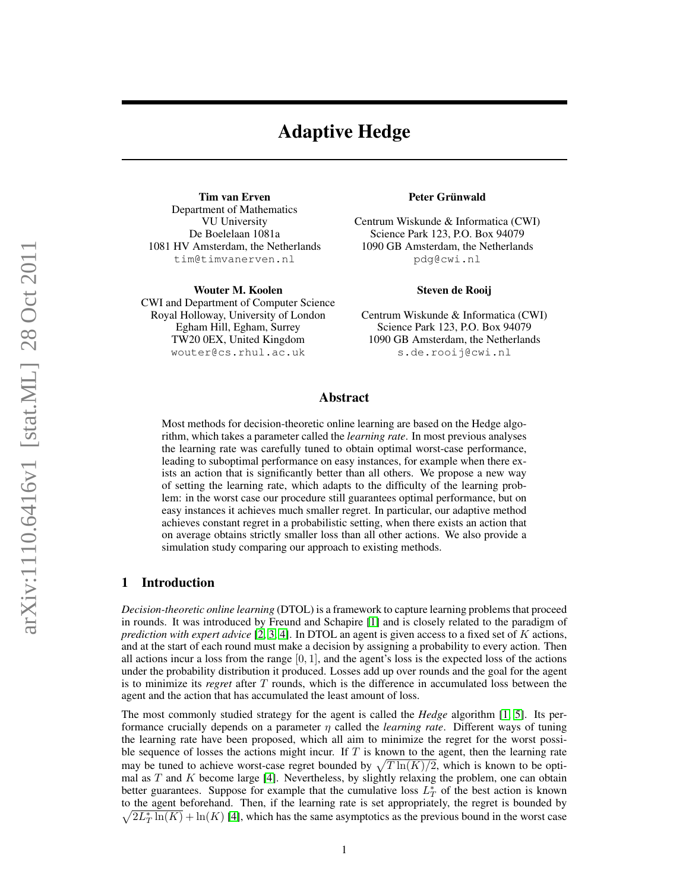# Adaptive Hedge

Tim van Erven Department of Mathematics VU University De Boelelaan 1081a 1081 HV Amsterdam, the Netherlands tim@timvanerven.nl

Wouter M. Koolen CWI and Department of Computer Science Royal Holloway, University of London Egham Hill, Egham, Surrey TW20 0EX, United Kingdom wouter@cs.rhul.ac.uk

#### Peter Grünwald

Centrum Wiskunde & Informatica (CWI) Science Park 123, P.O. Box 94079 1090 GB Amsterdam, the Netherlands pdg@cwi.nl

#### Steven de Rooij

Centrum Wiskunde & Informatica (CWI) Science Park 123, P.O. Box 94079 1090 GB Amsterdam, the Netherlands s.de.rooij@cwi.nl

## Abstract

Most methods for decision-theoretic online learning are based on the Hedge algorithm, which takes a parameter called the *learning rate*. In most previous analyses the learning rate was carefully tuned to obtain optimal worst-case performance, leading to suboptimal performance on easy instances, for example when there exists an action that is significantly better than all others. We propose a new way of setting the learning rate, which adapts to the difficulty of the learning problem: in the worst case our procedure still guarantees optimal performance, but on easy instances it achieves much smaller regret. In particular, our adaptive method achieves constant regret in a probabilistic setting, when there exists an action that on average obtains strictly smaller loss than all other actions. We also provide a simulation study comparing our approach to existing methods.

## 1 Introduction

*Decision-theoretic online learning* (DTOL) is a framework to capture learning problems that proceed in rounds. It was introduced by Freund and Schapire [\[1\]](#page-8-0) and is closely related to the paradigm of *prediction with expert advice* [\[2,](#page-8-1) [3,](#page-8-2) [4\]](#page-8-3). In DTOL an agent is given access to a fixed set of K actions, and at the start of each round must make a decision by assigning a probability to every action. Then all actions incur a loss from the range  $[0, 1]$ , and the agent's loss is the expected loss of the actions under the probability distribution it produced. Losses add up over rounds and the goal for the agent is to minimize its *regret* after T rounds, which is the difference in accumulated loss between the agent and the action that has accumulated the least amount of loss.

The most commonly studied strategy for the agent is called the *Hedge* algorithm [\[1,](#page-8-0) [5\]](#page-8-4). Its performance crucially depends on a parameter η called the *learning rate*. Different ways of tuning the learning rate have been proposed, which all aim to minimize the regret for the worst possible sequence of losses the actions might incur. If  $T$  is known to the agent, then the learning rate may be tuned to achieve worst-case regret bounded by  $\sqrt{T \ln(K)/2}$ , which is known to be optimal as  $T$  and  $K$  become large [\[4\]](#page-8-3). Nevertheless, by slightly relaxing the problem, one can obtain better guarantees. Suppose for example that the cumulative loss  $L_T^*$  of the best action is known to the agent beforehand. Then, if the learning rate is set appropriately, the regret is bounded by  $\sqrt{2L_T^* \ln(K)} + \ln(K)$  [\[4\]](#page-8-3), which has the same asymptotics as the previous bound in the worst case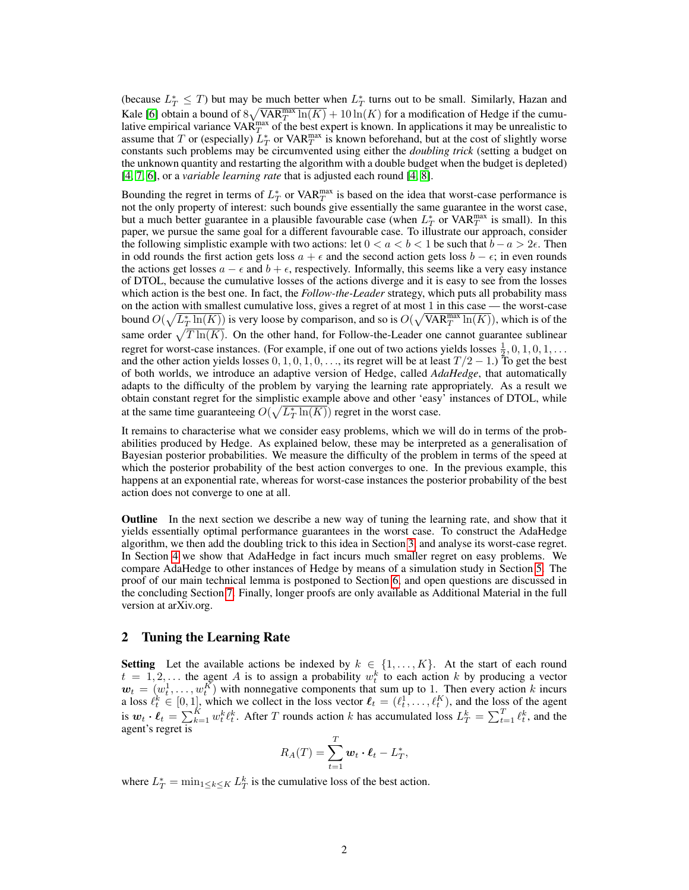(because  $L_T^* \leq T$ ) but may be much better when  $L_T^*$  turns out to be small. Similarly, Hazan and Kale [\[6\]](#page-8-5) obtain a bound of  $8\sqrt{\text{VAR}_T^{\text{max}} \ln(K)} + 10\ln(K)$  for a modification of Hedge if the cumulative empirical variance  $VAR_{T}^{max}$  of the best expert is known. In applications it may be unrealistic to assume that T or (especially)  $\overline{L}_T^*$  or VAR $_T^{\text{max}}$  is known beforehand, but at the cost of slightly worse constants such problems may be circumvented using either the *doubling trick* (setting a budget on the unknown quantity and restarting the algorithm with a double budget when the budget is depleted) [\[4,](#page-8-3) [7,](#page-8-6) [6\]](#page-8-5), or a *variable learning rate* that is adjusted each round [\[4,](#page-8-3) [8\]](#page-8-7).

Bounding the regret in terms of  $L_T^*$  or VAR $_T^{\text{max}}$  is based on the idea that worst-case performance is not the only property of interest: such bounds give essentially the same guarantee in the worst case, but a much better guarantee in a plausible favourable case (when  $L_T^*$  or VAR $_T^{\text{max}}$  is small). In this paper, we pursue the same goal for a different favourable case. To illustrate our approach, consider the following simplistic example with two actions: let  $0 < a < b < 1$  be such that  $b - a > 2\epsilon$ . Then in odd rounds the first action gets loss  $a + \epsilon$  and the second action gets loss  $b - \epsilon$ ; in even rounds the actions get losses  $a - \epsilon$  and  $b + \epsilon$ , respectively. Informally, this seems like a very easy instance of DTOL, because the cumulative losses of the actions diverge and it is easy to see from the losses which action is the best one. In fact, the *Follow-the-Leader* strategy, which puts all probability mass on the action with smallest cumulative loss, gives a regret of at most 1 in this case — the worst-case bound  $O(\sqrt{L_T^*\ln(K)})$  is very loose by comparison, and so is  $O(\sqrt{\text{VAR}_T^{\text{max}}\ln(K)})$ , which is of the same order  $\sqrt{T \ln(K)}$ . On the other hand, for Follow-the-Leader one cannot guarantee sublinear regret for worst-case instances. (For example, if one out of two actions yields losses  $\frac{1}{2}$ , 0, 1, 0, 1, ... and the other action yields losses  $0, 1, 0, 1, 0, \ldots$ , its regret will be at least  $T/2 - 1$ .) To get the best of both worlds, we introduce an adaptive version of Hedge, called *AdaHedge*, that automatically adapts to the difficulty of the problem by varying the learning rate appropriately. As a result we obtain constant regret for the simplistic example above and other 'easy' instances of DTOL, while at the same time guaranteeing  $O(\sqrt{L_T^* \ln(K)})$  regret in the worst case.

It remains to characterise what we consider easy problems, which we will do in terms of the probabilities produced by Hedge. As explained below, these may be interpreted as a generalisation of Bayesian posterior probabilities. We measure the difficulty of the problem in terms of the speed at which the posterior probability of the best action converges to one. In the previous example, this happens at an exponential rate, whereas for worst-case instances the posterior probability of the best action does not converge to one at all.

Outline In the next section we describe a new way of tuning the learning rate, and show that it yields essentially optimal performance guarantees in the worst case. To construct the AdaHedge algorithm, we then add the doubling trick to this idea in Section [3,](#page-3-0) and analyse its worst-case regret. In Section [4](#page-4-0) we show that AdaHedge in fact incurs much smaller regret on easy problems. We compare AdaHedge to other instances of Hedge by means of a simulation study in Section [5.](#page-5-0) The proof of our main technical lemma is postponed to Section [6,](#page-7-0) and open questions are discussed in the concluding Section [7.](#page-7-1) Finally, longer proofs are only available as Additional Material in the full version at arXiv.org.

## 2 Tuning the Learning Rate

**Setting** Let the available actions be indexed by  $k \in \{1, ..., K\}$ . At the start of each round  $t = 1, 2, \ldots$  the agent A is to assign a probability  $w_t^k$  to each action k by producing a vector  $\mathbf{w}_t = (w_t^1, \dots, w_t^K)$  with nonnegative components that sum up to 1. Then every action k incurs a loss  $\ell_t^k \in [0, 1]$ , which we collect in the loss vector  $\ell_t = (\ell_t^1, \ldots, \ell_t^K)$ , and the loss of the agent is  $w_t \cdot \ell_t = \sum_{k=1}^K w_t^k \ell_t^k$ . After T rounds action k has accumulated loss  $L_T^k = \sum_{t=1}^T \ell_t^k$ , and the agent's regret is

$$
R_A(T) = \sum_{t=1}^T \mathbf{w}_t \cdot \mathbf{\ell}_t - L_T^*,
$$

where  $L_T^* = \min_{1 \le k \le K} L_T^k$  is the cumulative loss of the best action.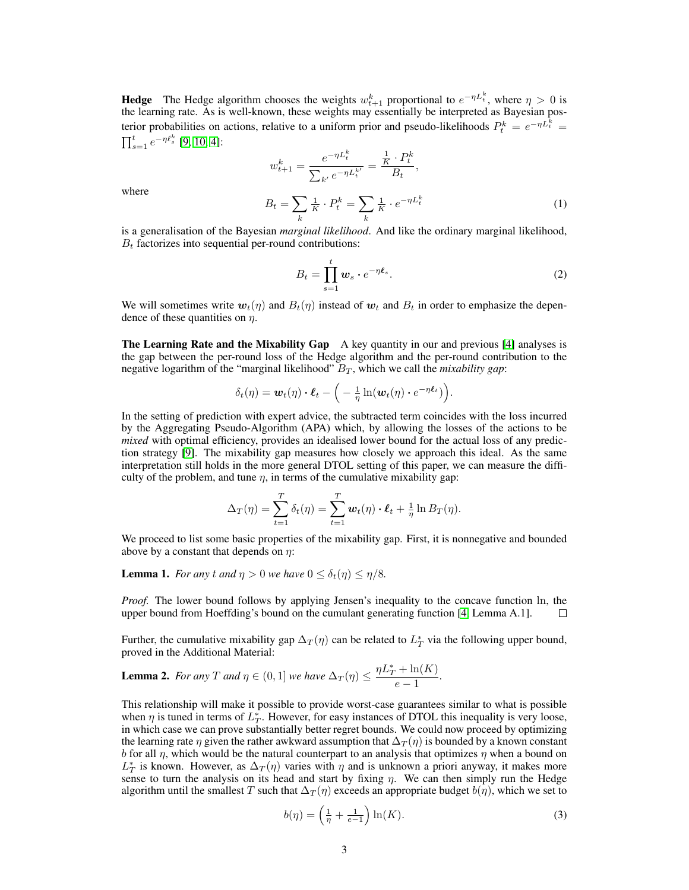**Hedge** The Hedge algorithm chooses the weights  $w_{t+1}^k$  proportional to  $e^{-\eta L_t^k}$ , where  $\eta > 0$  is the learning rate. As is well-known, these weights may essentially be interpreted as Bayesian posterior probabilities on actions, relative to a uniform prior and pseudo-likelihoods  $P_t^k = e^{-\eta L_t^k} =$  $\prod_{s=1}^{t} e^{-\eta \ell_s^k}$  [\[9,](#page-8-8) [10,](#page-8-9) [4\]](#page-8-3):

<span id="page-2-3"></span>
$$
w_{t+1}^k = \frac{e^{-\eta L_t^k}}{\sum_{k'} e^{-\eta L_t^{k'}}} = \frac{\frac{1}{K} \cdot P_t^k}{B_t},
$$
  

$$
B_t = \sum_k \frac{1}{K} \cdot P_t^k = \sum_k \frac{1}{K} \cdot e^{-\eta L_t^k}
$$
 (1)

where

is a generalisation of the Bayesian *marginal likelihood*. And like the ordinary marginal likelihood,  $B_t$  factorizes into sequential per-round contributions:

<span id="page-2-4"></span>
$$
B_t = \prod_{s=1}^t w_s \cdot e^{-\eta \ell_s}.
$$
 (2)

We will sometimes write  $w_t(\eta)$  and  $B_t(\eta)$  instead of  $w_t$  and  $B_t$  in order to emphasize the dependence of these quantities on  $\eta$ .

The Learning Rate and the Mixability Gap A key quantity in our and previous [\[4\]](#page-8-3) analyses is the gap between the per-round loss of the Hedge algorithm and the per-round contribution to the negative logarithm of the "marginal likelihood"  $B_T$ , which we call the *mixability gap*:

$$
\delta_t(\eta) = \boldsymbol{w}_t(\eta) \cdot \boldsymbol{\ell}_t - \left( -\frac{1}{\eta} \ln(\boldsymbol{w}_t(\eta) \cdot e^{-\eta \boldsymbol{\ell}_t}) \right).
$$

In the setting of prediction with expert advice, the subtracted term coincides with the loss incurred by the Aggregating Pseudo-Algorithm (APA) which, by allowing the losses of the actions to be *mixed* with optimal efficiency, provides an idealised lower bound for the actual loss of any prediction strategy [\[9\]](#page-8-8). The mixability gap measures how closely we approach this ideal. As the same interpretation still holds in the more general DTOL setting of this paper, we can measure the difficulty of the problem, and tune  $\eta$ , in terms of the cumulative mixability gap:

$$
\Delta_T(\eta) = \sum_{t=1}^T \delta_t(\eta) = \sum_{t=1}^T \boldsymbol{w}_t(\eta) \cdot \boldsymbol{\ell}_t + \frac{1}{\eta} \ln B_T(\eta).
$$

We proceed to list some basic properties of the mixability gap. First, it is nonnegative and bounded above by a constant that depends on  $\eta$ :

<span id="page-2-2"></span>**Lemma 1.** *For any t and*  $\eta > 0$  *we have*  $0 \leq \delta_t(\eta) \leq \eta/8$ *.* 

*Proof.* The lower bound follows by applying Jensen's inequality to the concave function ln, the upper bound from Hoeffding's bound on the cumulant generating function [\[4,](#page-8-3) Lemma A.1].  $\Box$ 

Further, the cumulative mixability gap  $\Delta_T(\eta)$  can be related to  $L_T^*$  via the following upper bound, proved in the Additional Material:

<span id="page-2-0"></span>**Lemma 2.** *For any T and*  $\eta \in (0,1]$  *we have*  $\Delta_T(\eta) \leq \frac{\eta L_T^* + \ln(K)}{2}$  $\frac{m(n)}{e-1}$ .

This relationship will make it possible to provide worst-case guarantees similar to what is possible when  $\eta$  is tuned in terms of  $L_T^*$ . However, for easy instances of DTOL this inequality is very loose, in which case we can prove substantially better regret bounds. We could now proceed by optimizing the learning rate  $\eta$  given the rather awkward assumption that  $\Delta_T(\eta)$  is bounded by a known constant b for all  $\eta$ , which would be the natural counterpart to an analysis that optimizes  $\eta$  when a bound on  $L_T^*$  is known. However, as  $\Delta_T(\eta)$  varies with  $\eta$  and is unknown a priori anyway, it makes more sense to turn the analysis on its head and start by fixing  $\eta$ . We can then simply run the Hedge algorithm until the smallest T such that  $\Delta_T(\eta)$  exceeds an appropriate budget  $b(\eta)$ , which we set to

<span id="page-2-1"></span>
$$
b(\eta) = \left(\frac{1}{\eta} + \frac{1}{e-1}\right) \ln(K). \tag{3}
$$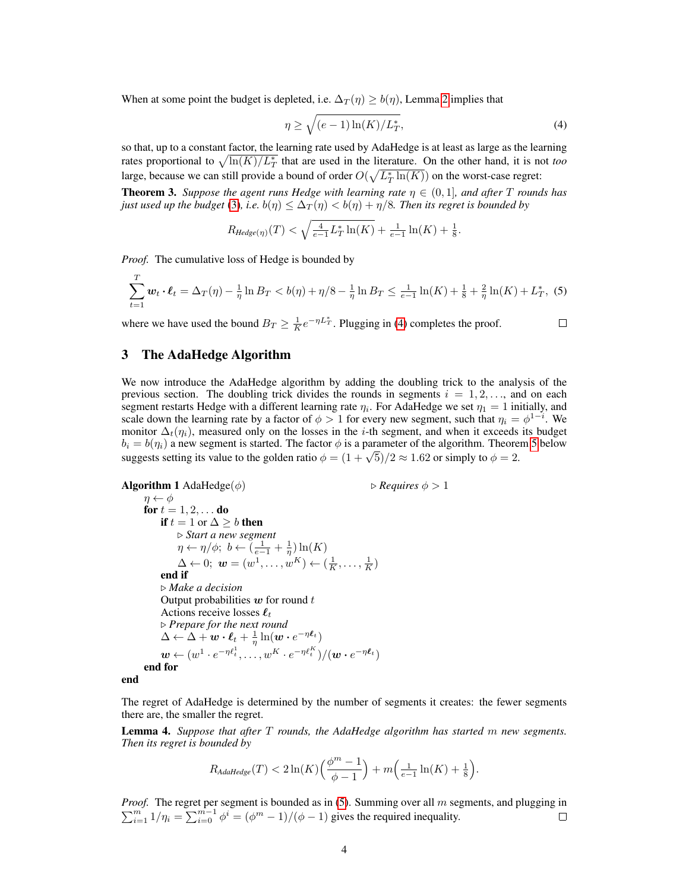When at some point the budget is depleted, i.e.  $\Delta_T(\eta) \geq b(\eta)$ , Lemma [2](#page-2-0) implies that

<span id="page-3-1"></span>
$$
\eta \ge \sqrt{(e-1)\ln(K)/L_T^*},\tag{4}
$$

so that, up to a constant factor, the learning rate used by AdaHedge is at least as large as the learning rates proportional to  $\sqrt{\ln(K)/L_T^*}$  that are used in the literature. On the other hand, it is not *too* large, because we can still provide a bound of order  $O(\sqrt{L_T^* \ln(K)})$  on the worst-case regret:

**Theorem 3.** *Suppose the agent runs Hedge with learning rate*  $\eta \in (0,1]$ *, and after* T *rounds has just used up the budget* [\(3\)](#page-2-1), *i.e.*  $b(\eta) \leq \Delta_T(\eta) < b(\eta) + \eta/8$ *. Then its regret is bounded by* 

$$
R_{Hedge(\eta)}(T) < \sqrt{\frac{4}{e-1}L_T^* \ln(K)} + \frac{1}{e-1}\ln(K) + \frac{1}{8}.
$$

*Proof.* The cumulative loss of Hedge is bounded by

<span id="page-3-2"></span>
$$
\sum_{t=1}^{1} \mathbf{w}_t \cdot \boldsymbol{\ell}_t = \Delta_T(\eta) - \frac{1}{\eta} \ln B_T < b(\eta) + \eta/8 - \frac{1}{\eta} \ln B_T \le \frac{1}{e-1} \ln(K) + \frac{1}{8} + \frac{2}{\eta} \ln(K) + L_T^*, \tag{5}
$$

where we have used the bound  $B_T \geq \frac{1}{K} e^{-\eta L_T^*}$ . Plugging in [\(4\)](#page-3-1) completes the proof.

#### $\Box$

## <span id="page-3-0"></span>3 The AdaHedge Algorithm

 $\overline{r}$ 

We now introduce the AdaHedge algorithm by adding the doubling trick to the analysis of the previous section. The doubling trick divides the rounds in segments  $i = 1, 2, \ldots$ , and on each segment restarts Hedge with a different learning rate  $\eta_i$ . For AdaHedge we set  $\eta_1 = 1$  initially, and scale down the learning rate by a factor of  $\phi > 1$  for every new segment, such that  $\eta_i = \phi^{1-i}$ . We monitor  $\Delta_t(\eta_i)$ , measured only on the losses in the *i*-th segment, and when it exceeds its budget  $b_i = b(\eta_i)$  a new segment is started. The factor  $\phi$  is a parameter of the algorithm. Theorem [5](#page-4-1) below  $\omega_i = \omega(\eta_i)$  a new segment is started. The factor  $\phi$  is a parameter of the algorithm. Theore suggests setting its value to the golden ratio  $\phi = (1 + \sqrt{5})/2 \approx 1.62$  or simply to  $\phi = 2$ .

```
Algorithm 1 AdaHedge(\phi) \triangleright Requires \phi > 1\eta \leftarrow \phifor t = 1, 2, \ldots do
               if t = 1 or \Delta \geq b then
                     . Start a new segment
                     \eta \leftarrow \eta/\phi; \; b \leftarrow \left(\frac{1}{e-1} + \frac{1}{\eta}\right) \ln(K)\Delta \leftarrow 0; \ \boldsymbol{w} = (w^1, \ldots, w^K) \leftarrow (\frac{1}{K}, \ldots, \frac{1}{K})end if
               . Make a decision
               Output probabilities w for round tActions receive losses \ell_t. Prepare for the next round
               \Delta \leftarrow \Delta + \overset{\circ}{\bm{w}} \cdot \bm{\ell}_t + \frac{1}{\eta}\ln(\bm{w}\cdot e^{-\eta \bm{\ell}_t})\boldsymbol{w} \leftarrow (w^1 \cdot e^{- \eta \ell_t^1}, \dots, w^K \cdot e^{- \eta \ell_t^K}) / (\boldsymbol{w} \cdot e^{- \eta \ell_t})end for
end
```
The regret of AdaHedge is determined by the number of segments it creates: the fewer segments there are, the smaller the regret.

<span id="page-3-3"></span>Lemma 4. *Suppose that after* T *rounds, the AdaHedge algorithm has started* m *new segments. Then its regret is bounded by*

$$
R_{\text{AdalHedge}}(T) < 2\ln(K) \left(\frac{\phi^m - 1}{\phi - 1}\right) + m\left(\frac{1}{e - 1}\ln(K) + \frac{1}{8}\right).
$$

*Proof.*  $\sum$ *oof.* The regret per segment is bounded as in [\(5\)](#page-3-2). Summing over all m segments, and plugging in  $\sum_{i=1}^{m} 1/\eta_i = \sum_{i=0}^{m-1} \phi^i = (\phi^m - 1)/(\phi - 1)$  gives the required inequality.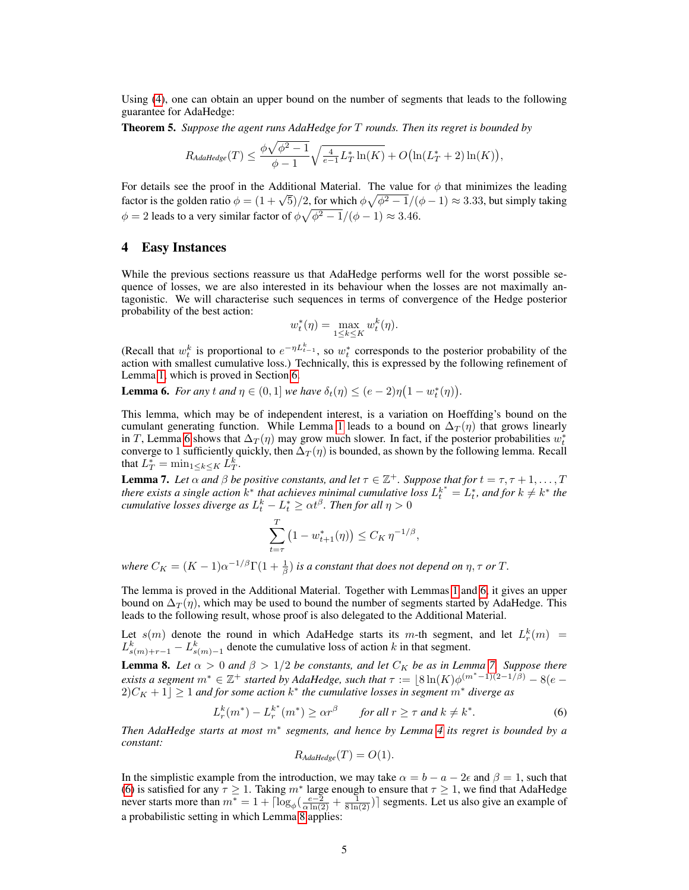Using [\(4\)](#page-3-1), one can obtain an upper bound on the number of segments that leads to the following guarantee for AdaHedge:

<span id="page-4-1"></span>Theorem 5. *Suppose the agent runs AdaHedge for* T *rounds. Then its regret is bounded by*

$$
R_{Adahedge}(T) \le \frac{\phi \sqrt{\phi^2 - 1}}{\phi - 1} \sqrt{\frac{4}{e - 1} L_T^* \ln(K)} + O\big(\ln(L_T^* + 2) \ln(K)\big),
$$

For details see the proof in the Additional Material. The value for  $\phi$  that minimizes the leading For details see the proof in the Additional Material. The value for  $\phi$  that minimizes the leading factor is the golden ratio  $\phi = (1 + \sqrt{5})/2$ , for which  $\phi \sqrt{\phi^2 - 1}/(\phi - 1) \approx 3.33$ , but simply taking  $\phi = 2$  leads to a very similar factor of  $\phi \sqrt{\phi^2 - 1}/(\phi - 1) \approx 3.46$ .

## <span id="page-4-0"></span>4 Easy Instances

While the previous sections reassure us that AdaHedge performs well for the worst possible sequence of losses, we are also interested in its behaviour when the losses are not maximally antagonistic. We will characterise such sequences in terms of convergence of the Hedge posterior probability of the best action:

$$
w_t^*(\eta) = \max_{1 \le k \le K} w_t^k(\eta).
$$

(Recall that  $w_t^k$  is proportional to  $e^{-\eta L_{t-1}^k}$ , so  $w_t^*$  corresponds to the posterior probability of the action with smallest cumulative loss.) Technically, this is expressed by the following refinement of Lemma [1,](#page-2-2) which is proved in Section [6.](#page-7-0)

<span id="page-4-2"></span>**Lemma 6.** *For any t and*  $\eta \in (0, 1]$  *we have*  $\delta_t(\eta) \leq (e - 2)\eta(1 - w_t^*(\eta))$ .

This lemma, which may be of independent interest, is a variation on Hoeffding's bound on the cumulant generating function. While Lemma [1](#page-2-2) leads to a bound on  $\Delta_T(\eta)$  that grows linearly in T, Lemma [6](#page-4-2) shows that  $\Delta_T(\eta)$  may grow much slower. In fact, if the posterior probabilities  $w_t^*$ converge to 1 sufficiently quickly, then  $\Delta_T(\eta)$  is bounded, as shown by the following lemma. Recall that  $L_T^* = \min_{1 \leq k \leq K} L_T^k$ .

<span id="page-4-3"></span>**Lemma 7.** Let  $\alpha$  and  $\beta$  be positive constants, and let  $\tau \in \mathbb{Z}^+$ . Suppose that for  $t = \tau, \tau + 1, \ldots, T$ *there exists a single action*  $k^*$  *that achieves minimal cumulative loss*  $L_t^{k^*} = L_t^*$ *, and for*  $k \neq k^*$  *the cumulative losses diverge as*  $L_t^k - L_t^* \ge \alpha t^\beta$ . *Then for all*  $\eta > 0$ 

$$
\sum_{t=\tau}^{T} (1 - w_{t+1}^*(\eta)) \le C_K \eta^{-1/\beta},
$$

*where*  $C_K = (K - 1)\alpha^{-1/\beta}\Gamma(1 + \frac{1}{\beta})$  *is a constant that does not depend on*  $\eta$ ,  $\tau$  *or*  $T$ *.* 

The lemma is proved in the Additional Material. Together with Lemmas [1](#page-2-2) and [6,](#page-4-2) it gives an upper bound on  $\Delta_T(\eta)$ , which may be used to bound the number of segments started by AdaHedge. This leads to the following result, whose proof is also delegated to the Additional Material.

Let  $s(m)$  denote the round in which AdaHedge starts its m-th segment, and let  $L_r^k(m)$  =  $L_{s(m)+r-1}^k - L_{s(m)-1}^k$  denote the cumulative loss of action k in that segment.

<span id="page-4-5"></span>**Lemma 8.** Let  $\alpha > 0$  and  $\beta > 1/2$  be constants, and let  $C_K$  be as in Lemma [7.](#page-4-3) Suppose there *exists a segment*  $m^* \in \mathbb{Z}^+$  *started by AdaHedge, such that*  $\tau := \lfloor 8 \ln(K) \phi^{(m^* - 1)(2 - 1/\beta)} - 8(e \lfloor 2)C_K + 1 \rfloor \geq 1$  and for some action  $k^*$  the cumulative losses in segment  $m^*$  diverge as

<span id="page-4-4"></span>
$$
L_r^k(m^*) - L_r^{k^*}(m^*) \ge \alpha r^\beta \qquad \text{for all } r \ge \tau \text{ and } k \ne k^*.
$$
 (6)

*Then AdaHedge starts at most* m<sup>∗</sup> *segments, and hence by Lemma [4](#page-3-3) its regret is bounded by a constant:*

$$
R_{AdalHedge}(T) = O(1).
$$

In the simplistic example from the introduction, we may take  $\alpha = b - a - 2\epsilon$  and  $\beta = 1$ , such that [\(6\)](#page-4-4) is satisfied for any  $\tau \geq 1$ . Taking  $m^*$  large enough to ensure that  $\tau \geq 1$ , we find that AdaHedge never starts more than  $m^* = 1 + \lceil \log_{\phi}(\frac{e-2}{\alpha \ln(2)} + \frac{1}{8 \ln(2)}) \rceil$  segments. Let us also give an example of a probabilistic setting in which Lemma [8](#page-4-5) applies: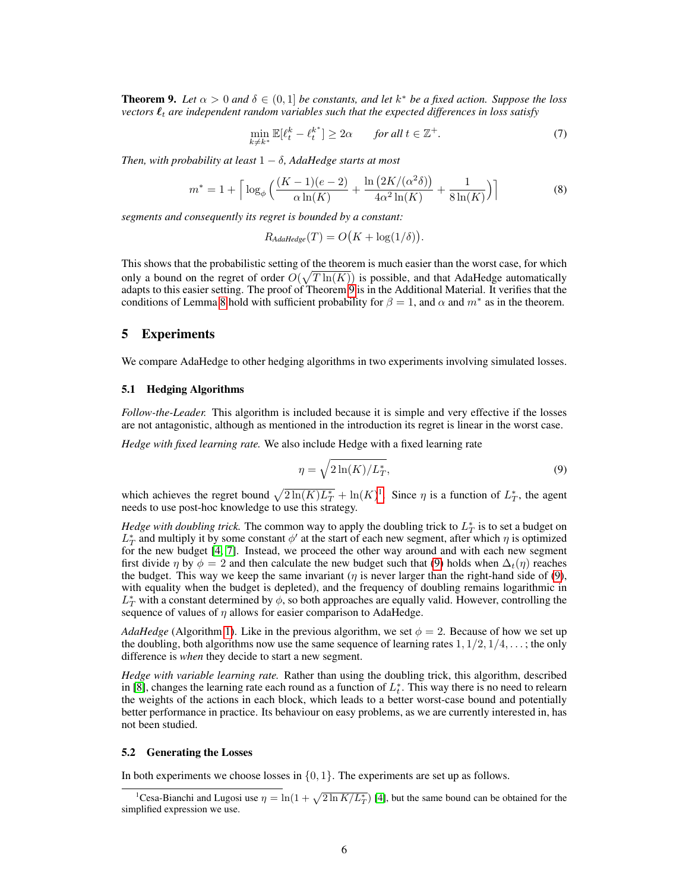<span id="page-5-1"></span>**Theorem 9.** Let  $\alpha > 0$  and  $\delta \in (0,1]$  be constants, and let  $k^*$  be a fixed action. Suppose the loss *vectors*  $\ell_t$  *are independent random variables such that the expected differences in loss satisfy* 

<span id="page-5-4"></span>
$$
\min_{k \neq k^*} \mathbb{E}[\ell_t^k - \ell_t^{k^*}] \ge 2\alpha \qquad \text{for all } t \in \mathbb{Z}^+.
$$

*Then, with probability at least*  $1 - \delta$ *, AdaHedge starts at most* 

<span id="page-5-5"></span>
$$
m^* = 1 + \left\lceil \log_{\phi} \left( \frac{(K-1)(e-2)}{\alpha \ln(K)} + \frac{\ln(2K/(\alpha^2 \delta))}{4\alpha^2 \ln(K)} + \frac{1}{8\ln(K)} \right) \right\rceil
$$
(8)

*segments and consequently its regret is bounded by a constant:*

$$
R_{Adalledge}(T) = O(K + \log(1/\delta)).
$$

This shows that the probabilistic setting of the theorem is much easier than the worst case, for which only a bound on the regret of order  $O(\sqrt{T \ln(K)})$  is possible, and that AdaHedge automatically adapts to this easier setting. The proof of Theorem [9](#page-5-1) is in the Additional Material. It verifies that the conditions of Lemma [8](#page-4-5) hold with sufficient probability for  $\beta = 1$ , and  $\alpha$  and  $m^*$  as in the theorem.

## <span id="page-5-0"></span>5 Experiments

We compare AdaHedge to other hedging algorithms in two experiments involving simulated losses.

#### 5.1 Hedging Algorithms

*Follow-the-Leader.* This algorithm is included because it is simple and very effective if the losses are not antagonistic, although as mentioned in the introduction its regret is linear in the worst case.

*Hedge with fixed learning rate.* We also include Hedge with a fixed learning rate

<span id="page-5-3"></span>
$$
\eta = \sqrt{2\ln(K)/L_T^*},\tag{9}
$$

which achieves the regret bound  $\sqrt{2\ln(K)L_T^*} + \ln(K)^1$  $\sqrt{2\ln(K)L_T^*} + \ln(K)^1$ . Since  $\eta$  is a function of  $L_T^*$ , the agent needs to use post-hoc knowledge to use this strategy.

*Hedge with doubling trick*. The common way to apply the doubling trick to  $L_T^*$  is to set a budget on  $L_T^*$  and multiply it by some constant  $\phi'$  at the start of each new segment, after which  $\eta$  is optimized for the new budget [\[4,](#page-8-3) [7\]](#page-8-6). Instead, we proceed the other way around and with each new segment first divide  $\eta$  by  $\phi = 2$  and then calculate the new budget such that [\(9\)](#page-5-3) holds when  $\Delta_t(\eta)$  reaches the budget. This way we keep the same invariant ( $\eta$  is never larger than the right-hand side of [\(9\)](#page-5-3), with equality when the budget is depleted), and the frequency of doubling remains logarithmic in  $L_T^*$  with a constant determined by  $\phi$ , so both approaches are equally valid. However, controlling the sequence of values of  $\eta$  allows for easier comparison to AdaHedge.

*AdaHedge* (Algorithm [1\)](#page-3-4). Like in the previous algorithm, we set  $\phi = 2$ . Because of how we set up the doubling, both algorithms now use the same sequence of learning rates  $1, 1/2, 1/4, \ldots$ ; the only difference is *when* they decide to start a new segment.

*Hedge with variable learning rate.* Rather than using the doubling trick, this algorithm, described in [\[8\]](#page-8-7), changes the learning rate each round as a function of  $L_t^*$ . This way there is no need to relearn the weights of the actions in each block, which leads to a better worst-case bound and potentially better performance in practice. Its behaviour on easy problems, as we are currently interested in, has not been studied.

#### 5.2 Generating the Losses

In both experiments we choose losses in  $\{0, 1\}$ . The experiments are set up as follows.

<span id="page-5-2"></span><sup>&</sup>lt;sup>1</sup>Cesa-Bianchi and Lugosi use  $\eta = \ln(1 + \sqrt{2 \ln K/L_T^*})$  [\[4\]](#page-8-3), but the same bound can be obtained for the simplified expression we use.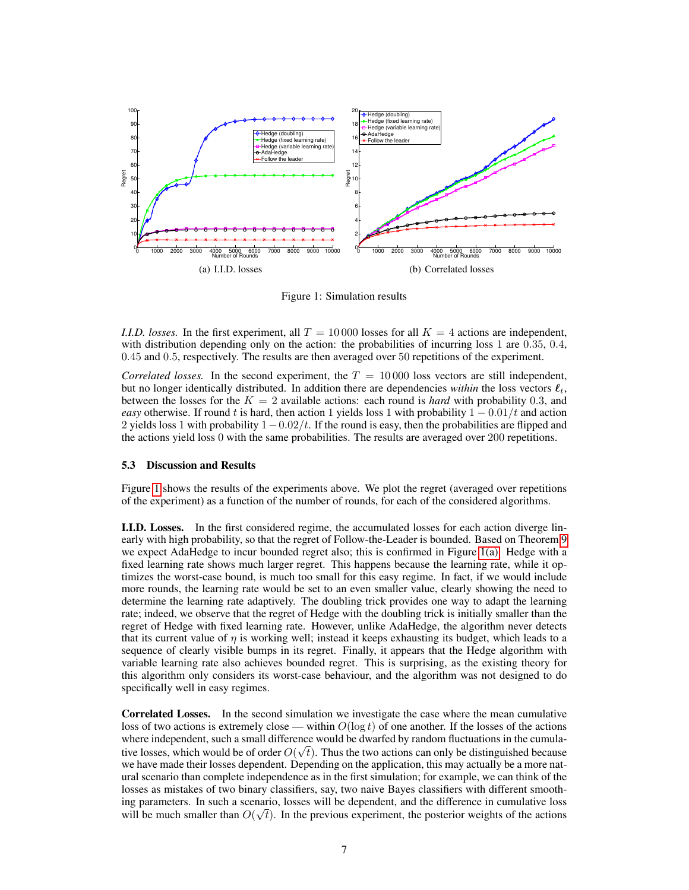<span id="page-6-1"></span>

<span id="page-6-0"></span>Figure 1: Simulation results

*I.I.D. losses.* In the first experiment, all  $T = 10000$  losses for all  $K = 4$  actions are independent, with distribution depending only on the action: the probabilities of incurring loss 1 are 0.35, 0.4, 0.45 and 0.5, respectively. The results are then averaged over 50 repetitions of the experiment.

*Correlated losses.* In the second experiment, the  $T = 10000$  loss vectors are still independent, but no longer identically distributed. In addition there are dependencies *within* the loss vectors  $\ell_t$ , between the losses for the  $K = 2$  available actions: each round is *hard* with probability 0.3, and *easy* otherwise. If round t is hard, then action 1 yields loss 1 with probability  $1 - 0.01/t$  and action 2 yields loss 1 with probability  $1-0.02/t$ . If the round is easy, then the probabilities are flipped and the actions yield loss 0 with the same probabilities. The results are averaged over 200 repetitions.

#### 5.3 Discussion and Results

Figure [1](#page-6-0) shows the results of the experiments above. We plot the regret (averaged over repetitions of the experiment) as a function of the number of rounds, for each of the considered algorithms.

I.I.D. Losses. In the first considered regime, the accumulated losses for each action diverge linearly with high probability, so that the regret of Follow-the-Leader is bounded. Based on Theorem [9](#page-5-1) we expect AdaHedge to incur bounded regret also; this is confirmed in Figure [1\(a\).](#page-6-1) Hedge with a fixed learning rate shows much larger regret. This happens because the learning rate, while it optimizes the worst-case bound, is much too small for this easy regime. In fact, if we would include more rounds, the learning rate would be set to an even smaller value, clearly showing the need to determine the learning rate adaptively. The doubling trick provides one way to adapt the learning rate; indeed, we observe that the regret of Hedge with the doubling trick is initially smaller than the regret of Hedge with fixed learning rate. However, unlike AdaHedge, the algorithm never detects that its current value of  $\eta$  is working well; instead it keeps exhausting its budget, which leads to a sequence of clearly visible bumps in its regret. Finally, it appears that the Hedge algorithm with variable learning rate also achieves bounded regret. This is surprising, as the existing theory for this algorithm only considers its worst-case behaviour, and the algorithm was not designed to do specifically well in easy regimes.

Correlated Losses. In the second simulation we investigate the case where the mean cumulative loss of two actions is extremely close — within  $O(\log t)$  of one another. If the losses of the actions where independent, such a small difference would be dwarfed by random fluctuations in the cumulative losses, which would be of order  $O(\sqrt{t})$ . Thus the two actions can only be distinguished because we have made their losses dependent. Depending on the application, this may actually be a more natural scenario than complete independence as in the first simulation; for example, we can think of the losses as mistakes of two binary classifiers, say, two naive Bayes classifiers with different smoothing parameters. In such a scenario, losses will be dependent, and the difference in cumulative loss √ will be much smaller than  $O(\sqrt{t})$ . In the previous experiment, the posterior weights of the actions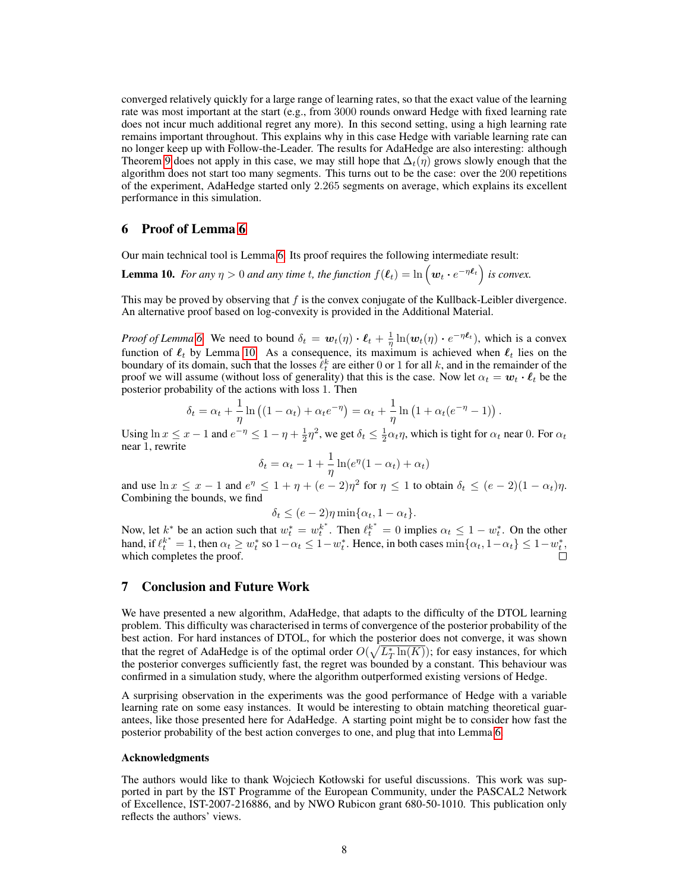converged relatively quickly for a large range of learning rates, so that the exact value of the learning rate was most important at the start (e.g., from 3000 rounds onward Hedge with fixed learning rate does not incur much additional regret any more). In this second setting, using a high learning rate remains important throughout. This explains why in this case Hedge with variable learning rate can no longer keep up with Follow-the-Leader. The results for AdaHedge are also interesting: although Theorem [9](#page-5-1) does not apply in this case, we may still hope that  $\Delta_t(\eta)$  grows slowly enough that the algorithm does not start too many segments. This turns out to be the case: over the 200 repetitions of the experiment, AdaHedge started only 2.265 segments on average, which explains its excellent performance in this simulation.

## <span id="page-7-0"></span>6 Proof of Lemma [6](#page-4-2)

Our main technical tool is Lemma [6.](#page-4-2) Its proof requires the following intermediate result:

<span id="page-7-2"></span>**Lemma 10.** For any  $\eta > 0$  and any time t, the function  $f(\ell_t) = \ln \left(w_t \cdot e^{-\eta \ell_t}\right)$  is convex.

This may be proved by observing that  $f$  is the convex conjugate of the Kullback-Leibler divergence. An alternative proof based on log-convexity is provided in the Additional Material.

*Proof of Lemma* [6.](#page-4-2) We need to bound  $\delta_t = \mathbf{w}_t(\eta) \cdot \mathbf{\ell}_t + \frac{1}{\eta} \ln(\mathbf{w}_t(\eta) \cdot e^{-\eta \mathbf{\ell}_t})$ , which is a convex function of  $\ell_t$  by Lemma [10.](#page-7-2) As a consequence, its maximum is achieved when  $\ell_t$  lies on the boundary of its domain, such that the losses  $\ell_t^k$  are either 0 or 1 for all k, and in the remainder of the proof we will assume (without loss of generality) that this is the case. Now let  $\alpha_t = \mathbf{w}_t \cdot \mathbf{\ell}_t$  be the posterior probability of the actions with loss 1. Then

$$
\delta_t = \alpha_t + \frac{1}{\eta} \ln \left( (1 - \alpha_t) + \alpha_t e^{-\eta} \right) = \alpha_t + \frac{1}{\eta} \ln \left( 1 + \alpha_t (e^{-\eta} - 1) \right).
$$

Using  $\ln x \le x - 1$  and  $e^{-\eta} \le 1 - \eta + \frac{1}{2}\eta^2$ , we get  $\delta_t \le \frac{1}{2}\alpha_t\eta$ , which is tight for  $\alpha_t$  near 0. For  $\alpha_t$ near 1, rewrite

$$
\delta_t = \alpha_t - 1 + \frac{1}{\eta} \ln(e^{\eta}(1 - \alpha_t) + \alpha_t)
$$

and use  $\ln x \le x - 1$  and  $e^{\eta} \le 1 + \eta + (e - 2)\eta^2$  for  $\eta \le 1$  to obtain  $\delta_t \le (e - 2)(1 - \alpha_t)\eta$ . Combining the bounds, we find

$$
\delta_t \le (e-2)\eta \min\{\alpha_t, 1-\alpha_t\}.
$$

Now, let  $k^*$  be an action such that  $w_t^* = w_t^{k^*}$ . Then  $\ell_t^{k^*} = 0$  implies  $\alpha_t \leq 1 - w_t^*$ . On the other hand, if  $\ell_t^{k^*} = 1$ , then  $\alpha_t \ge w_t^*$  so  $1 - \alpha_t \le 1 - w_t^*$ . Hence, in both cases  $\min\{\alpha_t, 1 - \alpha_t\} \le 1 - w_t^*$ , which completes the proof.

## <span id="page-7-1"></span>7 Conclusion and Future Work

We have presented a new algorithm, AdaHedge, that adapts to the difficulty of the DTOL learning problem. This difficulty was characterised in terms of convergence of the posterior probability of the best action. For hard instances of DTOL, for which the posterior does not converge, it was shown that the regret of AdaHedge is of the optimal order  $O(\sqrt{L_T^* \ln(K)})$ ; for easy instances, for which the posterior converges sufficiently fast, the regret was bounded by a constant. This behaviour was confirmed in a simulation study, where the algorithm outperformed existing versions of Hedge.

A surprising observation in the experiments was the good performance of Hedge with a variable learning rate on some easy instances. It would be interesting to obtain matching theoretical guarantees, like those presented here for AdaHedge. A starting point might be to consider how fast the posterior probability of the best action converges to one, and plug that into Lemma [6.](#page-4-2)

#### Acknowledgments

The authors would like to thank Wojciech Kotłowski for useful discussions. This work was supported in part by the IST Programme of the European Community, under the PASCAL2 Network of Excellence, IST-2007-216886, and by NWO Rubicon grant 680-50-1010. This publication only reflects the authors' views.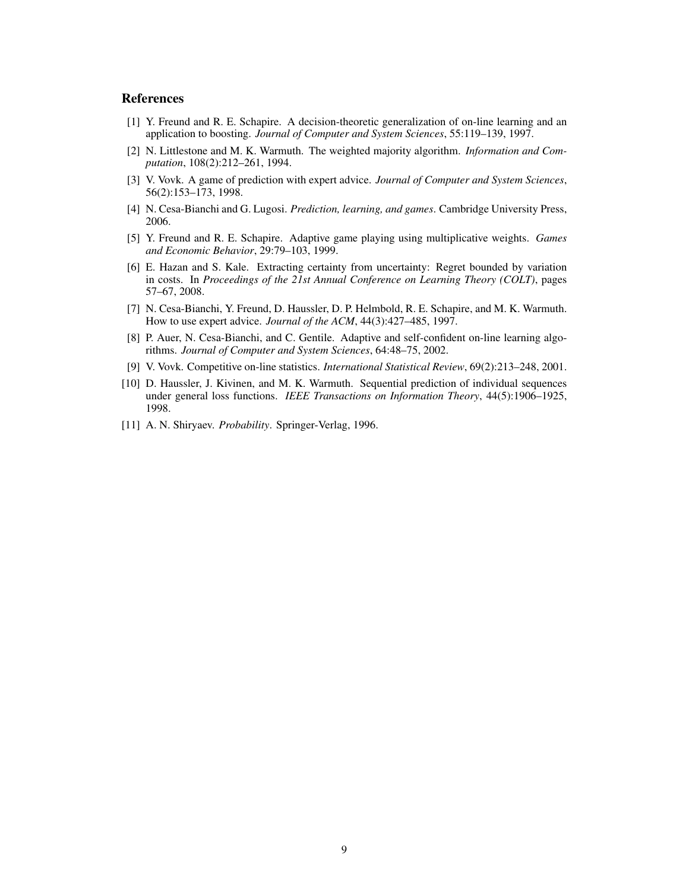# **References**

- <span id="page-8-0"></span>[1] Y. Freund and R. E. Schapire. A decision-theoretic generalization of on-line learning and an application to boosting. *Journal of Computer and System Sciences*, 55:119–139, 1997.
- <span id="page-8-1"></span>[2] N. Littlestone and M. K. Warmuth. The weighted majority algorithm. *Information and Computation*, 108(2):212–261, 1994.
- <span id="page-8-2"></span>[3] V. Vovk. A game of prediction with expert advice. *Journal of Computer and System Sciences*, 56(2):153–173, 1998.
- <span id="page-8-3"></span>[4] N. Cesa-Bianchi and G. Lugosi. *Prediction, learning, and games*. Cambridge University Press, 2006.
- <span id="page-8-4"></span>[5] Y. Freund and R. E. Schapire. Adaptive game playing using multiplicative weights. *Games and Economic Behavior*, 29:79–103, 1999.
- <span id="page-8-5"></span>[6] E. Hazan and S. Kale. Extracting certainty from uncertainty: Regret bounded by variation in costs. In *Proceedings of the 21st Annual Conference on Learning Theory (COLT)*, pages 57–67, 2008.
- <span id="page-8-6"></span>[7] N. Cesa-Bianchi, Y. Freund, D. Haussler, D. P. Helmbold, R. E. Schapire, and M. K. Warmuth. How to use expert advice. *Journal of the ACM*, 44(3):427–485, 1997.
- <span id="page-8-7"></span>[8] P. Auer, N. Cesa-Bianchi, and C. Gentile. Adaptive and self-confident on-line learning algorithms. *Journal of Computer and System Sciences*, 64:48–75, 2002.
- <span id="page-8-8"></span>[9] V. Vovk. Competitive on-line statistics. *International Statistical Review*, 69(2):213–248, 2001.
- <span id="page-8-9"></span>[10] D. Haussler, J. Kivinen, and M. K. Warmuth. Sequential prediction of individual sequences under general loss functions. *IEEE Transactions on Information Theory*, 44(5):1906–1925, 1998.
- <span id="page-8-10"></span>[11] A. N. Shiryaev. *Probability*. Springer-Verlag, 1996.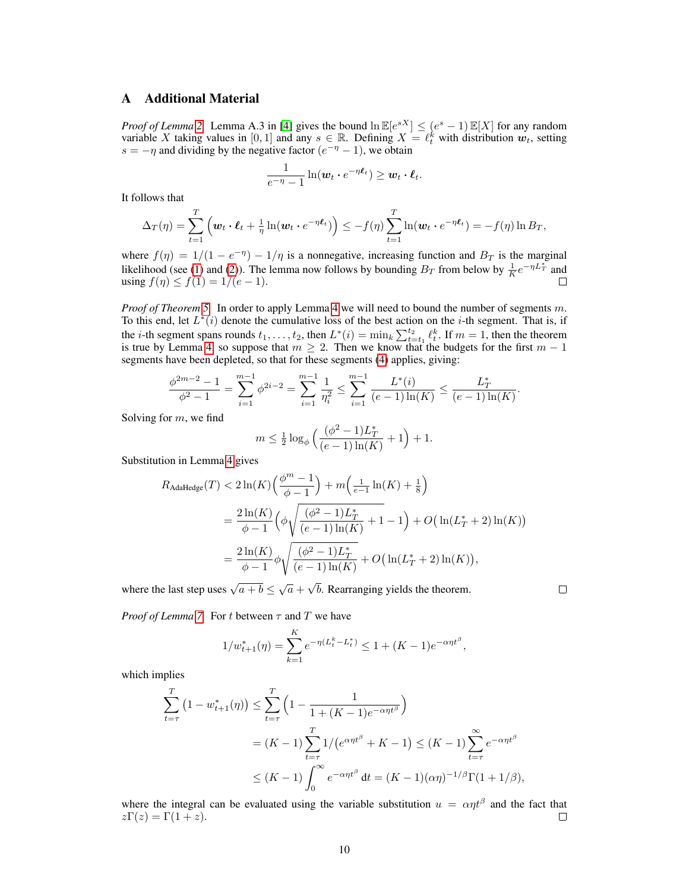# A Additional Material

*Proof of Lemma* [2.](#page-2-0) Lemma A.3 in [\[4\]](#page-8-3) gives the bound  $\ln \mathbb{E}[e^{sX}] \leq (e^s - 1) \mathbb{E}[X]$  for any random variable X taking values in [0, 1] and any  $s \in \mathbb{R}$ . Defining  $X = \ell_t^k$  with distribution  $w_t$ , setting  $s = -\eta$  and dividing by the negative factor  $(e^{-\eta} - 1)$ , we obtain

$$
\frac{1}{e^{-\eta}-1}\ln(\boldsymbol{w}_t\boldsymbol{\cdot} e^{-\eta \boldsymbol{\ell}_t})\geq \boldsymbol{w}_t\boldsymbol{\cdot} \boldsymbol{\ell}_t.
$$

It follows that

$$
\Delta_T(\eta) = \sum_{t=1}^T \left( \boldsymbol{w}_t \cdot \boldsymbol{\ell}_t + \frac{1}{\eta} \ln(\boldsymbol{w}_t \cdot e^{-\eta \boldsymbol{\ell}_t}) \right) \leq -f(\eta) \sum_{t=1}^T \ln(\boldsymbol{w}_t \cdot e^{-\eta \boldsymbol{\ell}_t}) = -f(\eta) \ln B_T,
$$

where  $f(\eta) = 1/(1 - e^{-\eta}) - 1/\eta$  is a nonnegative, increasing function and  $B_T$  is the marginal likelihood (see [\(1\)](#page-2-3) and [\(2\)](#page-2-4)). The lemma now follows by bounding  $B_T$  from below by  $\frac{1}{K}e^{-\eta L_T^*}$  and using  $f(\eta) \le f(1) = 1/(e-1)$ . П

*Proof of Theorem [5.](#page-4-1)* In order to apply Lemma [4](#page-3-3) we will need to bound the number of segments m. To this end, let  $L^*(i)$  denote the cumulative loss of the best action on the *i*-th segment. That is, if the *i*-th segment spans rounds  $t_1, \ldots, t_2$ , then  $L^*(i) = \min_k \sum_{t=t_1}^{t_2} \ell_t^k$ . If  $m = 1$ , then the theorem is true by Lemma [4,](#page-3-3) so suppose that  $m \geq 2$ . Then we know that the budgets for the first  $m - 1$ segments have been depleted, so that for these segments [\(4\)](#page-3-1) applies, giving:

$$
\frac{\phi^{2m-2}-1}{\phi^2-1} = \sum_{i=1}^{m-1} \phi^{2i-2} = \sum_{i=1}^{m-1} \frac{1}{\eta_i^2} \le \sum_{i=1}^{m-1} \frac{L^*(i)}{(e-1)\ln(K)} \le \frac{L_T^*}{(e-1)\ln(K)}
$$

Solving for  $m$ , we find

$$
m\leq \tfrac{1}{2}\log_\phi\Big(\frac{(\phi^2-1)L_T^*}{(e-1)\ln(K)}+1\Big)+1.
$$

Substitution in Lemma [4](#page-3-3) gives

$$
R_{\text{AdalHedge}}(T) < 2\ln(K) \left(\frac{\phi^m - 1}{\phi - 1}\right) + m \left(\frac{1}{e - 1}\ln(K) + \frac{1}{8}\right)
$$
\n
$$
= \frac{2\ln(K)}{\phi - 1} \left(\phi \sqrt{\frac{(\phi^2 - 1)L_T^*}{(e - 1)\ln(K)}} + 1 - 1\right) + O\left(\ln(L_T^* + 2)\ln(K)\right)
$$
\n
$$
= \frac{2\ln(K)}{\phi - 1} \phi \sqrt{\frac{(\phi^2 - 1)L_T^*}{(e - 1)\ln(K)}} + O\left(\ln(L_T^* + 2)\ln(K)\right),
$$

where the last step uses  $\sqrt{a+b} \leq \sqrt{a}$  + b. Rearranging yields the theorem.

 $\Box$ 

.

*Proof of Lemma* [7.](#page-4-3) For t between  $\tau$  and T we have

$$
1/w_{t+1}^*(\eta) = \sum_{k=1}^K e^{-\eta(L_t^k - L_t^*)} \le 1 + (K - 1)e^{-\alpha \eta t^{\beta}},
$$

which implies

$$
\sum_{t=\tau}^{T} (1 - w_{t+1}^*(\eta)) \le \sum_{t=\tau}^{T} \left(1 - \frac{1}{1 + (K-1)e^{-\alpha \eta t^{\beta}}}\right)
$$
  
=  $(K-1) \sum_{t=\tau}^{T} 1/(e^{\alpha \eta t^{\beta}} + K - 1) \le (K-1) \sum_{t=\tau}^{\infty} e^{-\alpha \eta t^{\beta}}$   
 $\le (K-1) \int_0^{\infty} e^{-\alpha \eta t^{\beta}} dt = (K-1)(\alpha \eta)^{-1/\beta} \Gamma(1 + 1/\beta),$ 

where the integral can be evaluated using the variable substitution  $u = \alpha \eta t^{\beta}$  and the fact that  $z\Gamma(z) = \Gamma(1+z)$ . □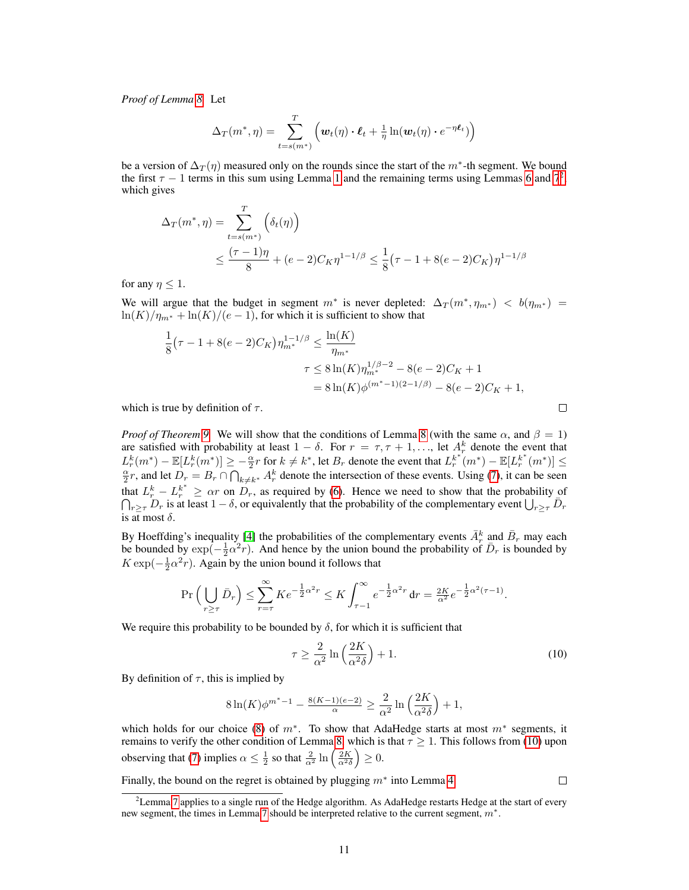*Proof of Lemma [8.](#page-4-5)* Let

$$
\Delta_T(m^*, \eta) = \sum_{t=s(m^*)}^T \left( \boldsymbol{w}_t(\eta) \cdot \boldsymbol{\ell}_t + \frac{1}{\eta} \ln(\boldsymbol{w}_t(\eta) \cdot e^{-\eta \boldsymbol{\ell}_t}) \right)
$$

be a version of  $\Delta_T(\eta)$  measured only on the rounds since the start of the  $m^*$ -th segment. We bound the first  $\tau - 1$  $\tau - 1$  terms in this sum using Lemma 1 and the remaining terms using Lemmas [6](#page-4-2) and  $7^2$  $7^2$ , which gives

$$
\Delta_T(m^*, \eta) = \sum_{t=s(m^*)}^T \left( \delta_t(\eta) \right)
$$
  
 
$$
\leq \frac{(\tau - 1)\eta}{8} + (e - 2)C_K \eta^{1-1/\beta} \leq \frac{1}{8} (\tau - 1 + 8(e - 2)C_K) \eta^{1-1/\beta}
$$

for any  $\eta \leq 1$ .

We will argue that the budget in segment  $m^*$  is never depleted:  $\Delta_T(m^*, \eta_{m^*}) < b(\eta_{m^*}) =$  $\ln(K)/\eta_{m^*} + \ln(K)/(e-1)$ , for which it is sufficient to show that

$$
\frac{1}{8}(\tau - 1 + 8(e - 2)C_K)\eta_{m^*}^{1 - 1/\beta} \le \frac{\ln(K)}{\eta_{m^*}}
$$
  

$$
\tau \le 8\ln(K)\eta_{m^*}^{1/\beta - 2} - 8(e - 2)C_K + 1
$$
  

$$
= 8\ln(K)\phi^{(m^* - 1)(2 - 1/\beta)} - 8(e - 2)C_K + 1,
$$

which is true by definition of  $\tau$ .

*Proof of Theorem* [9.](#page-5-1) We will show that the conditions of Lemma [8](#page-4-5) (with the same  $\alpha$ , and  $\beta = 1$ ) are satisfied with probability at least  $1 - \delta$ . For  $r = \tau, \tau + 1, \ldots$ , let  $A_r^k$  denote the event that  $L_r^k(m^*) - \mathbb{E}[L_r^k(m^*)] \ge -\frac{\alpha}{2}r$  for  $k \neq k^*$ , let  $B_r$  denote the event that  $L_r^{k^*}(m^*) - \mathbb{E}[L_r^{k^*}(m^*)] \le$  $\frac{\alpha}{2}r$ , and let  $D_r = B_r \cap \bigcap_{k \neq k^*} A_r^k$  denote the intersection of these events. Using [\(7\)](#page-5-4), it can be seen that  $L_r^k - L_r^{k^*} \geq \alpha r$  on  $D_r$ , as required by [\(6\)](#page-4-4). Hence we need to show that the probability of  $\bigcap_{r \geq \tau} D_r$  is at least  $1 - \delta$ , or equivalently that the probability of the complementary event  $\bigcup_{r \geq \tau} \overline{D_r}$ is at most  $\delta$ .

By Hoeffding's inequality [\[4\]](#page-8-3) the probabilities of the complementary events  $\bar{A}_r^k$  and  $\bar{B}_r$  may each be bounded by  $\exp(-\frac{1}{2}\alpha^2 r)$ . And hence by the union bound the probability of  $\bar{D}_r$  is bounded by  $K \exp(-\frac{1}{2}\alpha^2 r)$ . Again by the union bound it follows that

$$
\Pr\left(\bigcup_{r\geq\tau}\bar{D}_r\right) \leq \sum_{r=\tau}^{\infty} K e^{-\frac{1}{2}\alpha^2 r} \leq K \int_{\tau-1}^{\infty} e^{-\frac{1}{2}\alpha^2 r} dr = \frac{2K}{\alpha^2} e^{-\frac{1}{2}\alpha^2 (\tau-1)}
$$

We require this probability to be bounded by  $\delta$ , for which it is sufficient that

<span id="page-10-1"></span>
$$
\tau \ge \frac{2}{\alpha^2} \ln \left( \frac{2K}{\alpha^2 \delta} \right) + 1. \tag{10}
$$

.

By definition of  $\tau$ , this is implied by

$$
8\ln(K)\phi^{m^*-1} - \frac{8(K-1)(e-2)}{\alpha} \ge \frac{2}{\alpha^2}\ln\left(\frac{2K}{\alpha^2\delta}\right) + 1,
$$

which holds for our choice [\(8\)](#page-5-5) of  $m^*$ . To show that AdaHedge starts at most  $m^*$  segments, it remains to verify the other condition of Lemma [8,](#page-4-5) which is that  $\tau \geq 1$ . This follows from [\(10\)](#page-10-1) upon observing that [\(7\)](#page-5-4) implies  $\alpha \leq \frac{1}{2}$  so that  $\frac{2}{\alpha^2} \ln \left( \frac{2K}{\alpha^2 \delta} \right) \geq 0$ .

Finally, the bound on the regret is obtained by plugging  $m^*$  into Lemma [4.](#page-3-3)



 $\Box$ 

<span id="page-10-0"></span><sup>&</sup>lt;sup>2</sup>Lemma [7](#page-4-3) applies to a single run of the Hedge algorithm. As AdaHedge restarts Hedge at the start of every new segment, the times in Lemma [7](#page-4-3) should be interpreted relative to the current segment,  $m^*$ .